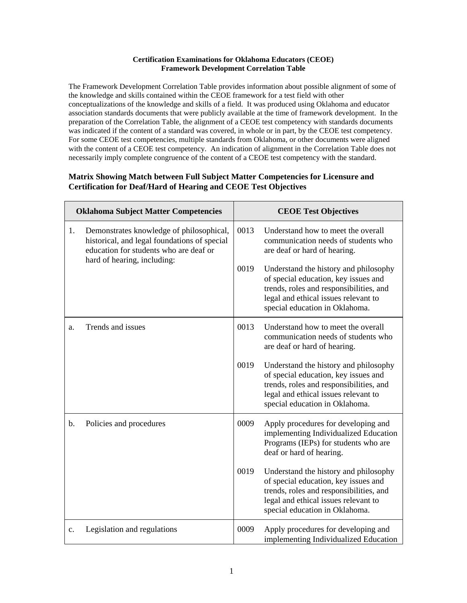## **Certification Examinations for Oklahoma Educators (CEOE) Framework Development Correlation Table**

The Framework Development Correlation Table provides information about possible alignment of some of the knowledge and skills contained within the CEOE framework for a test field with other conceptualizations of the knowledge and skills of a field. It was produced using Oklahoma and educator association standards documents that were publicly available at the time of framework development. In the preparation of the Correlation Table, the alignment of a CEOE test competency with standards documents was indicated if the content of a standard was covered, in whole or in part, by the CEOE test competency. For some CEOE test competencies, multiple standards from Oklahoma, or other documents were aligned with the content of a CEOE test competency. An indication of alignment in the Correlation Table does not necessarily imply complete congruence of the content of a CEOE test competency with the standard.

## **Matrix Showing Match between Full Subject Matter Competencies for Licensure and Certification for Deaf/Hard of Hearing and CEOE Test Objectives**

| <b>Oklahoma Subject Matter Competencies</b> |                                                                                                                                                                   | <b>CEOE Test Objectives</b> |                                                                                                                                                                                                    |
|---------------------------------------------|-------------------------------------------------------------------------------------------------------------------------------------------------------------------|-----------------------------|----------------------------------------------------------------------------------------------------------------------------------------------------------------------------------------------------|
| 1.                                          | Demonstrates knowledge of philosophical,<br>historical, and legal foundations of special<br>education for students who are deaf or<br>hard of hearing, including: | 0013                        | Understand how to meet the overall<br>communication needs of students who<br>are deaf or hard of hearing.                                                                                          |
|                                             |                                                                                                                                                                   | 0019                        | Understand the history and philosophy<br>of special education, key issues and<br>trends, roles and responsibilities, and<br>legal and ethical issues relevant to<br>special education in Oklahoma. |
| a.                                          | Trends and issues                                                                                                                                                 | 0013                        | Understand how to meet the overall<br>communication needs of students who<br>are deaf or hard of hearing.                                                                                          |
|                                             |                                                                                                                                                                   | 0019                        | Understand the history and philosophy<br>of special education, key issues and<br>trends, roles and responsibilities, and<br>legal and ethical issues relevant to<br>special education in Oklahoma. |
| b.                                          | Policies and procedures                                                                                                                                           | 0009                        | Apply procedures for developing and<br>implementing Individualized Education<br>Programs (IEPs) for students who are<br>deaf or hard of hearing.                                                   |
|                                             |                                                                                                                                                                   | 0019                        | Understand the history and philosophy<br>of special education, key issues and<br>trends, roles and responsibilities, and<br>legal and ethical issues relevant to<br>special education in Oklahoma. |
| c.                                          | Legislation and regulations                                                                                                                                       | 0009                        | Apply procedures for developing and<br>implementing Individualized Education                                                                                                                       |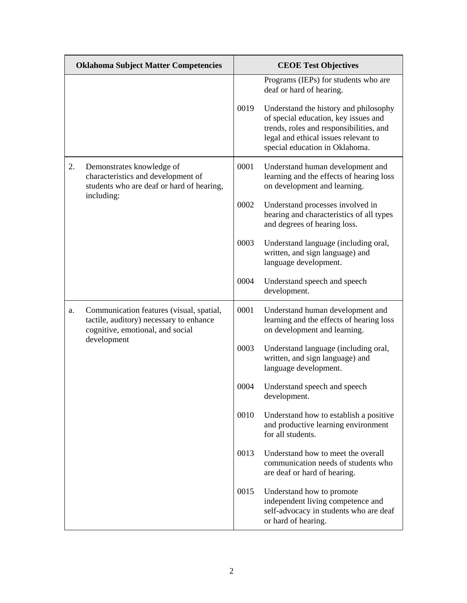| <b>Oklahoma Subject Matter Competencies</b> |                                                                                                                         | <b>CEOE Test Objectives</b> |                                                                                                                                                                                                                                                                        |
|---------------------------------------------|-------------------------------------------------------------------------------------------------------------------------|-----------------------------|------------------------------------------------------------------------------------------------------------------------------------------------------------------------------------------------------------------------------------------------------------------------|
|                                             |                                                                                                                         | 0019                        | Programs (IEPs) for students who are<br>deaf or hard of hearing.<br>Understand the history and philosophy<br>of special education, key issues and<br>trends, roles and responsibilities, and<br>legal and ethical issues relevant to<br>special education in Oklahoma. |
| 2.                                          | Demonstrates knowledge of<br>characteristics and development of<br>students who are deaf or hard of hearing,            | 0001                        | Understand human development and<br>learning and the effects of hearing loss<br>on development and learning.                                                                                                                                                           |
|                                             | including:                                                                                                              | 0002                        | Understand processes involved in<br>hearing and characteristics of all types<br>and degrees of hearing loss.                                                                                                                                                           |
|                                             |                                                                                                                         | 0003                        | Understand language (including oral,<br>written, and sign language) and<br>language development.                                                                                                                                                                       |
|                                             |                                                                                                                         | 0004                        | Understand speech and speech<br>development.                                                                                                                                                                                                                           |
| a.                                          | Communication features (visual, spatial,<br>tactile, auditory) necessary to enhance<br>cognitive, emotional, and social | 0001                        | Understand human development and<br>learning and the effects of hearing loss<br>on development and learning.                                                                                                                                                           |
|                                             | development                                                                                                             | 0003                        | Understand language (including oral,<br>written, and sign language) and<br>language development.                                                                                                                                                                       |
|                                             |                                                                                                                         | 0004                        | Understand speech and speech<br>development.                                                                                                                                                                                                                           |
|                                             |                                                                                                                         | 0010                        | Understand how to establish a positive<br>and productive learning environment<br>for all students.                                                                                                                                                                     |
|                                             |                                                                                                                         | 0013                        | Understand how to meet the overall<br>communication needs of students who<br>are deaf or hard of hearing.                                                                                                                                                              |
|                                             |                                                                                                                         | 0015                        | Understand how to promote<br>independent living competence and<br>self-advocacy in students who are deaf<br>or hard of hearing.                                                                                                                                        |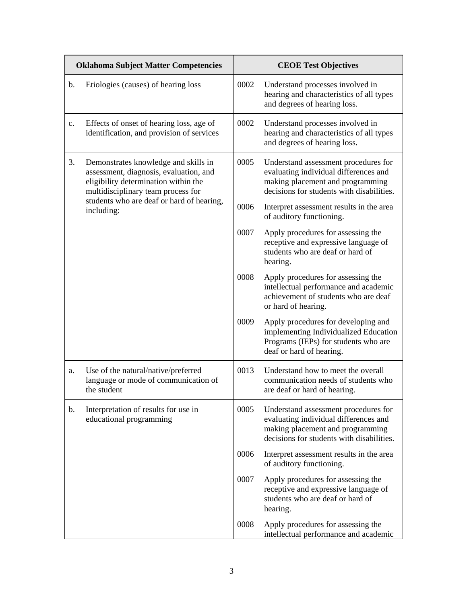| <b>Oklahoma Subject Matter Competencies</b> |                                                                                                                                                                                                                         | <b>CEOE Test Objectives</b> |                                                                                                                                                                |
|---------------------------------------------|-------------------------------------------------------------------------------------------------------------------------------------------------------------------------------------------------------------------------|-----------------------------|----------------------------------------------------------------------------------------------------------------------------------------------------------------|
| b.                                          | Etiologies (causes) of hearing loss                                                                                                                                                                                     | 0002                        | Understand processes involved in<br>hearing and characteristics of all types<br>and degrees of hearing loss.                                                   |
| c.                                          | Effects of onset of hearing loss, age of<br>identification, and provision of services                                                                                                                                   | 0002                        | Understand processes involved in<br>hearing and characteristics of all types<br>and degrees of hearing loss.                                                   |
| 3.                                          | Demonstrates knowledge and skills in<br>assessment, diagnosis, evaluation, and<br>eligibility determination within the<br>multidisciplinary team process for<br>students who are deaf or hard of hearing,<br>including: | 0005                        | Understand assessment procedures for<br>evaluating individual differences and<br>making placement and programming<br>decisions for students with disabilities. |
|                                             |                                                                                                                                                                                                                         | 0006                        | Interpret assessment results in the area<br>of auditory functioning.                                                                                           |
|                                             |                                                                                                                                                                                                                         | 0007                        | Apply procedures for assessing the<br>receptive and expressive language of<br>students who are deaf or hard of<br>hearing.                                     |
|                                             |                                                                                                                                                                                                                         | 0008                        | Apply procedures for assessing the<br>intellectual performance and academic<br>achievement of students who are deaf<br>or hard of hearing.                     |
|                                             |                                                                                                                                                                                                                         | 0009                        | Apply procedures for developing and<br>implementing Individualized Education<br>Programs (IEPs) for students who are<br>deaf or hard of hearing.               |
| a.                                          | Use of the natural/native/preferred<br>language or mode of communication of<br>the student                                                                                                                              | 0013                        | Understand how to meet the overall<br>communication needs of students who<br>are deaf or hard of hearing.                                                      |
| b.                                          | Interpretation of results for use in<br>educational programming                                                                                                                                                         | 0005                        | Understand assessment procedures for<br>evaluating individual differences and<br>making placement and programming<br>decisions for students with disabilities. |
|                                             |                                                                                                                                                                                                                         | 0006                        | Interpret assessment results in the area<br>of auditory functioning.                                                                                           |
|                                             |                                                                                                                                                                                                                         | 0007                        | Apply procedures for assessing the<br>receptive and expressive language of<br>students who are deaf or hard of<br>hearing.                                     |
|                                             |                                                                                                                                                                                                                         | 0008                        | Apply procedures for assessing the<br>intellectual performance and academic                                                                                    |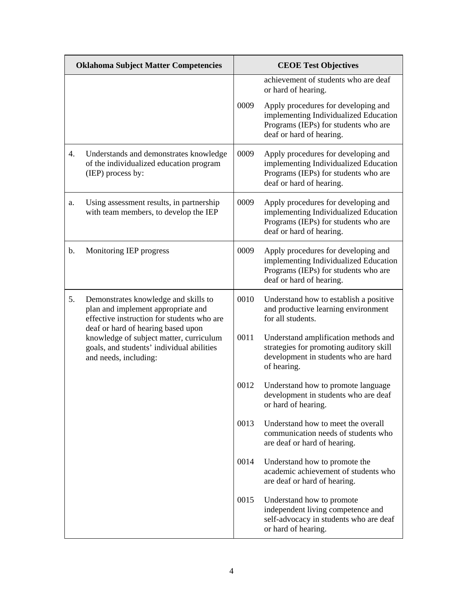| <b>Oklahoma Subject Matter Competencies</b> |                                                                                                                                                                                                                                                                                 | <b>CEOE Test Objectives</b> |                                                                                                                                                  |
|---------------------------------------------|---------------------------------------------------------------------------------------------------------------------------------------------------------------------------------------------------------------------------------------------------------------------------------|-----------------------------|--------------------------------------------------------------------------------------------------------------------------------------------------|
|                                             |                                                                                                                                                                                                                                                                                 |                             | achievement of students who are deaf<br>or hard of hearing.                                                                                      |
|                                             |                                                                                                                                                                                                                                                                                 | 0009                        | Apply procedures for developing and<br>implementing Individualized Education<br>Programs (IEPs) for students who are<br>deaf or hard of hearing. |
| 4.                                          | Understands and demonstrates knowledge<br>of the individualized education program<br>(IEP) process by:                                                                                                                                                                          | 0009                        | Apply procedures for developing and<br>implementing Individualized Education<br>Programs (IEPs) for students who are<br>deaf or hard of hearing. |
| a.                                          | Using assessment results, in partnership<br>with team members, to develop the IEP                                                                                                                                                                                               | 0009                        | Apply procedures for developing and<br>implementing Individualized Education<br>Programs (IEPs) for students who are<br>deaf or hard of hearing. |
| b.                                          | Monitoring IEP progress                                                                                                                                                                                                                                                         | 0009                        | Apply procedures for developing and<br>implementing Individualized Education<br>Programs (IEPs) for students who are<br>deaf or hard of hearing. |
| 5.                                          | Demonstrates knowledge and skills to<br>plan and implement appropriate and<br>effective instruction for students who are<br>deaf or hard of hearing based upon<br>knowledge of subject matter, curriculum<br>goals, and students' individual abilities<br>and needs, including: | 0010                        | Understand how to establish a positive<br>and productive learning environment<br>for all students.                                               |
|                                             |                                                                                                                                                                                                                                                                                 | 0011                        | Understand amplification methods and<br>strategies for promoting auditory skill<br>development in students who are hard<br>of hearing.           |
|                                             |                                                                                                                                                                                                                                                                                 | 0012                        | Understand how to promote language<br>development in students who are deaf<br>or hard of hearing.                                                |
|                                             |                                                                                                                                                                                                                                                                                 | 0013                        | Understand how to meet the overall<br>communication needs of students who<br>are deaf or hard of hearing.                                        |
|                                             |                                                                                                                                                                                                                                                                                 | 0014                        | Understand how to promote the<br>academic achievement of students who<br>are deaf or hard of hearing.                                            |
|                                             |                                                                                                                                                                                                                                                                                 | 0015                        | Understand how to promote<br>independent living competence and<br>self-advocacy in students who are deaf<br>or hard of hearing.                  |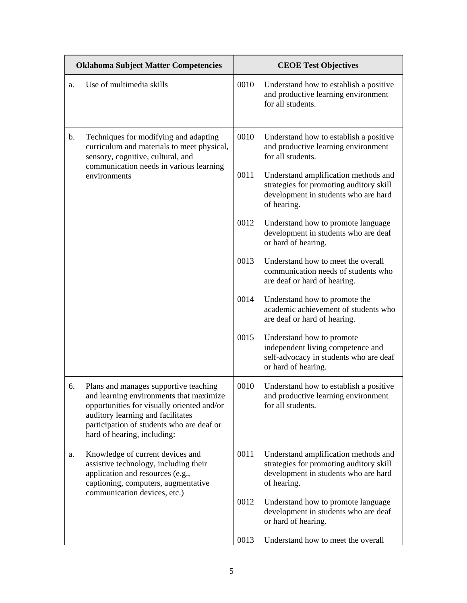| <b>Oklahoma Subject Matter Competencies</b> |                                                                                                                                                                                                                                                 | <b>CEOE Test Objectives</b> |                                                                                                                                        |
|---------------------------------------------|-------------------------------------------------------------------------------------------------------------------------------------------------------------------------------------------------------------------------------------------------|-----------------------------|----------------------------------------------------------------------------------------------------------------------------------------|
| a.                                          | Use of multimedia skills                                                                                                                                                                                                                        | 0010                        | Understand how to establish a positive<br>and productive learning environment<br>for all students.                                     |
| b.                                          | Techniques for modifying and adapting<br>curriculum and materials to meet physical,<br>sensory, cognitive, cultural, and<br>communication needs in various learning<br>environments                                                             | 0010                        | Understand how to establish a positive<br>and productive learning environment<br>for all students.                                     |
|                                             |                                                                                                                                                                                                                                                 | 0011                        | Understand amplification methods and<br>strategies for promoting auditory skill<br>development in students who are hard<br>of hearing. |
|                                             |                                                                                                                                                                                                                                                 | 0012                        | Understand how to promote language<br>development in students who are deaf<br>or hard of hearing.                                      |
|                                             |                                                                                                                                                                                                                                                 | 0013                        | Understand how to meet the overall<br>communication needs of students who<br>are deaf or hard of hearing.                              |
|                                             |                                                                                                                                                                                                                                                 | 0014                        | Understand how to promote the<br>academic achievement of students who<br>are deaf or hard of hearing.                                  |
|                                             |                                                                                                                                                                                                                                                 | 0015                        | Understand how to promote<br>independent living competence and<br>self-advocacy in students who are deaf<br>or hard of hearing.        |
| 6.                                          | Plans and manages supportive teaching<br>and learning environments that maximize<br>opportunities for visually oriented and/or<br>auditory learning and facilitates<br>participation of students who are deaf or<br>hard of hearing, including: | 0010                        | Understand how to establish a positive<br>and productive learning environment<br>for all students.                                     |
| a.                                          | Knowledge of current devices and<br>assistive technology, including their<br>application and resources (e.g.,<br>captioning, computers, augmentative<br>communication devices, etc.)                                                            | 0011                        | Understand amplification methods and<br>strategies for promoting auditory skill<br>development in students who are hard<br>of hearing. |
|                                             |                                                                                                                                                                                                                                                 | 0012                        | Understand how to promote language<br>development in students who are deaf<br>or hard of hearing.                                      |
|                                             |                                                                                                                                                                                                                                                 | 0013                        | Understand how to meet the overall                                                                                                     |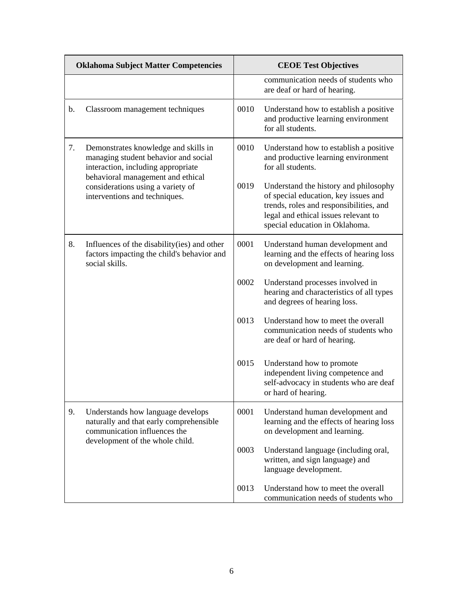| <b>Oklahoma Subject Matter Competencies</b> |                                                                                                                                                                                                                               | <b>CEOE Test Objectives</b> |                                                                                                                                                                                                    |
|---------------------------------------------|-------------------------------------------------------------------------------------------------------------------------------------------------------------------------------------------------------------------------------|-----------------------------|----------------------------------------------------------------------------------------------------------------------------------------------------------------------------------------------------|
|                                             |                                                                                                                                                                                                                               |                             | communication needs of students who<br>are deaf or hard of hearing.                                                                                                                                |
| b.                                          | Classroom management techniques                                                                                                                                                                                               | 0010                        | Understand how to establish a positive<br>and productive learning environment<br>for all students.                                                                                                 |
| 7.                                          | Demonstrates knowledge and skills in<br>managing student behavior and social<br>interaction, including appropriate<br>behavioral management and ethical<br>considerations using a variety of<br>interventions and techniques. | 0010                        | Understand how to establish a positive<br>and productive learning environment<br>for all students.                                                                                                 |
|                                             |                                                                                                                                                                                                                               | 0019                        | Understand the history and philosophy<br>of special education, key issues and<br>trends, roles and responsibilities, and<br>legal and ethical issues relevant to<br>special education in Oklahoma. |
| 8.                                          | Influences of the disability (ies) and other<br>factors impacting the child's behavior and<br>social skills.                                                                                                                  | 0001                        | Understand human development and<br>learning and the effects of hearing loss<br>on development and learning.                                                                                       |
|                                             |                                                                                                                                                                                                                               | 0002                        | Understand processes involved in<br>hearing and characteristics of all types<br>and degrees of hearing loss.                                                                                       |
|                                             |                                                                                                                                                                                                                               | 0013                        | Understand how to meet the overall<br>communication needs of students who<br>are deaf or hard of hearing.                                                                                          |
|                                             |                                                                                                                                                                                                                               | 0015                        | Understand how to promote<br>independent living competence and<br>self-advocacy in students who are deaf<br>or hard of hearing.                                                                    |
| 9.                                          | Understands how language develops<br>naturally and that early comprehensible<br>communication influences the                                                                                                                  | 0001                        | Understand human development and<br>learning and the effects of hearing loss<br>on development and learning.                                                                                       |
|                                             | development of the whole child.                                                                                                                                                                                               | 0003                        | Understand language (including oral,<br>written, and sign language) and<br>language development.                                                                                                   |
|                                             |                                                                                                                                                                                                                               | 0013                        | Understand how to meet the overall<br>communication needs of students who                                                                                                                          |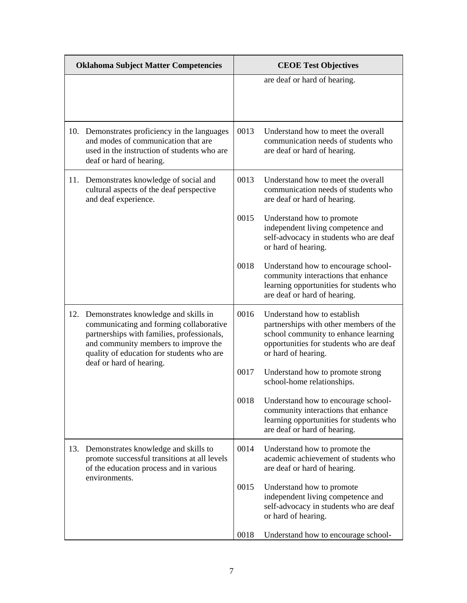| <b>Oklahoma Subject Matter Competencies</b> |                                                                                                                                                                                                                    | <b>CEOE Test Objectives</b> |                                                                                                                                                                                 |
|---------------------------------------------|--------------------------------------------------------------------------------------------------------------------------------------------------------------------------------------------------------------------|-----------------------------|---------------------------------------------------------------------------------------------------------------------------------------------------------------------------------|
|                                             |                                                                                                                                                                                                                    |                             | are deaf or hard of hearing.                                                                                                                                                    |
|                                             | 10. Demonstrates proficiency in the languages<br>and modes of communication that are<br>used in the instruction of students who are<br>deaf or hard of hearing.                                                    | 0013                        | Understand how to meet the overall<br>communication needs of students who<br>are deaf or hard of hearing.                                                                       |
| 11.                                         | Demonstrates knowledge of social and<br>cultural aspects of the deaf perspective<br>and deaf experience.                                                                                                           | 0013                        | Understand how to meet the overall<br>communication needs of students who<br>are deaf or hard of hearing.                                                                       |
|                                             |                                                                                                                                                                                                                    | 0015                        | Understand how to promote<br>independent living competence and<br>self-advocacy in students who are deaf<br>or hard of hearing.                                                 |
|                                             |                                                                                                                                                                                                                    | 0018                        | Understand how to encourage school-<br>community interactions that enhance<br>learning opportunities for students who<br>are deaf or hard of hearing.                           |
| 12.                                         | Demonstrates knowledge and skills in<br>communicating and forming collaborative<br>partnerships with families, professionals,<br>and community members to improve the<br>quality of education for students who are | 0016                        | Understand how to establish<br>partnerships with other members of the<br>school community to enhance learning<br>opportunities for students who are deaf<br>or hard of hearing. |
|                                             | deaf or hard of hearing.                                                                                                                                                                                           | 0017                        | Understand how to promote strong<br>school-home relationships.                                                                                                                  |
|                                             |                                                                                                                                                                                                                    | 0018                        | Understand how to encourage school-<br>community interactions that enhance<br>learning opportunities for students who<br>are deaf or hard of hearing.                           |
| 13.                                         | Demonstrates knowledge and skills to<br>promote successful transitions at all levels<br>of the education process and in various                                                                                    | 0014                        | Understand how to promote the<br>academic achievement of students who<br>are deaf or hard of hearing.                                                                           |
|                                             | environments.                                                                                                                                                                                                      | 0015                        | Understand how to promote<br>independent living competence and<br>self-advocacy in students who are deaf<br>or hard of hearing.                                                 |
|                                             |                                                                                                                                                                                                                    | 0018                        | Understand how to encourage school-                                                                                                                                             |